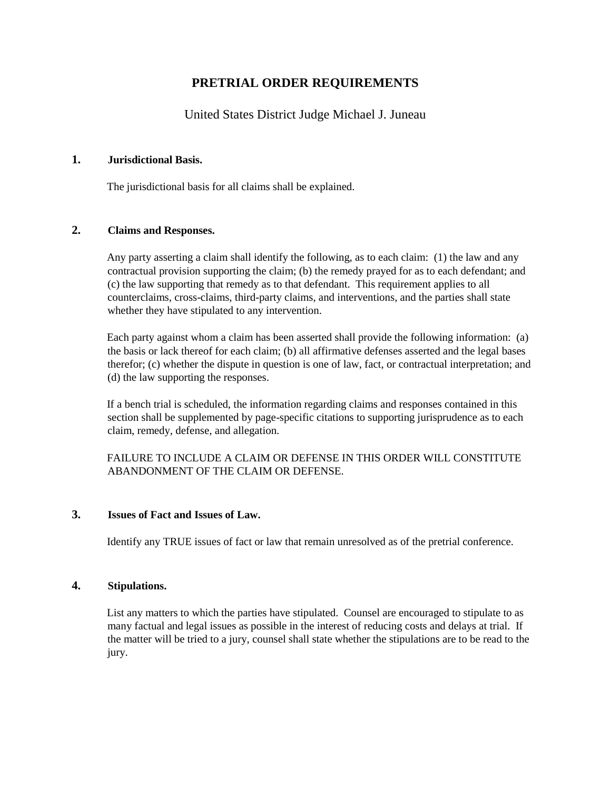# **PRETRIAL ORDER REQUIREMENTS**

## United States District Judge Michael J. Juneau

### **1. Jurisdictional Basis.**

The jurisdictional basis for all claims shall be explained.

### **2. Claims and Responses.**

Any party asserting a claim shall identify the following, as to each claim: (1) the law and any contractual provision supporting the claim; (b) the remedy prayed for as to each defendant; and (c) the law supporting that remedy as to that defendant. This requirement applies to all counterclaims, cross-claims, third-party claims, and interventions, and the parties shall state whether they have stipulated to any intervention.

Each party against whom a claim has been asserted shall provide the following information: (a) the basis or lack thereof for each claim; (b) all affirmative defenses asserted and the legal bases therefor; (c) whether the dispute in question is one of law, fact, or contractual interpretation; and (d) the law supporting the responses.

If a bench trial is scheduled, the information regarding claims and responses contained in this section shall be supplemented by page-specific citations to supporting jurisprudence as to each claim, remedy, defense, and allegation.

FAILURE TO INCLUDE A CLAIM OR DEFENSE IN THIS ORDER WILL CONSTITUTE ABANDONMENT OF THE CLAIM OR DEFENSE.

#### **3. Issues of Fact and Issues of Law.**

Identify any TRUE issues of fact or law that remain unresolved as of the pretrial conference.

#### **4. Stipulations.**

List any matters to which the parties have stipulated. Counsel are encouraged to stipulate to as many factual and legal issues as possible in the interest of reducing costs and delays at trial. If the matter will be tried to a jury, counsel shall state whether the stipulations are to be read to the jury.